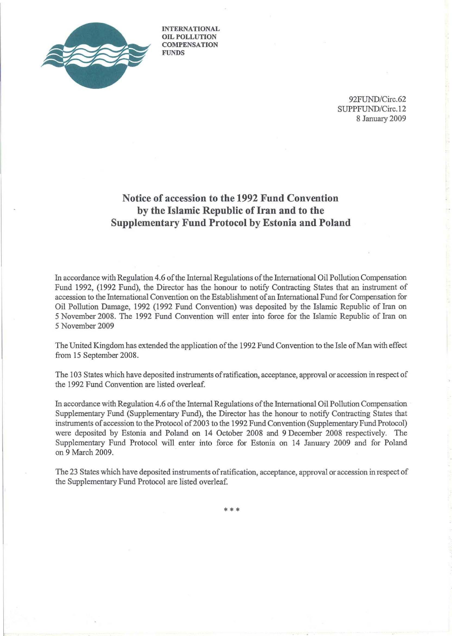

INTERNATIONAL OIL POLLUTION **COMPENSATION** FUNDS

> 92FUND/Circ.62 SUPPFUND/Circ.12 8 January 2009

## **Notice of accession to the 1992 Fund Convention by the Islamic Republic ofIran and to the Supplementary Fund Protocol by Estonia and Poland**

In accordance with Regulation 4.6 ofthe Internal Regulations ofthe International Oil Pollution Compensation Fund 1992, (1992 Fund), the Director has the honour to notify Contracting States that an instrument of accession to the International Convention on the Establishment of an International Fund for Compensation for Oil Pollution Damage, 1992 (1992 Fund Convention) was deposited by the Islamic Republic of Iran on 5 November 2008. The 1992 Fund Convention will enter into force for the Islamic Republic of Iran on 5 November 2009

The United Kingdom has extended the application of the 1992 Fund Convention to the Isle of Man with effect from 15 September 2008.

The 103 States which have deposited instruments ofratification, acceptance, approval or accession in respect of the 1992 Fund Convention are listed overleaf.

In accordance with Regulation 4.6 of the Internal Regulations of the International Oil Pollution Compensation Supplementary Fund (Supplementary Fund), the Director has the honour to notify Contracting States that instruments of accession to the Protocol of 2003 to the 1992 Fund Convention (Supplementary Fund Protocol) were deposited by Estonia and Poland on 14 October 2008 and 9 December 2008 respectively. The Supplementary Fund Protocol will enter into force for Estonia on 14 January 2009 and for Poland on 9 March 2009.

The 23 States which have deposited instruments ofratification, acceptance, approval or accession in respect of the Supplementary Fund Protocol are listed overleaf.

\*\*\*